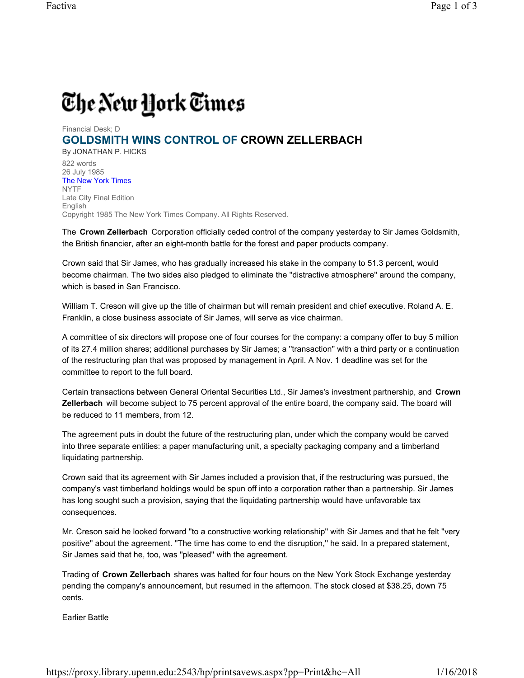## The New York Times

Financial Desk; D **GOLDSMITH WINS CONTROL OF CROWN ZELLERBACH**

By JONATHAN P. HICKS 822 words 26 July 1985 The New York Times NYTF Late City Final Edition English Copyright 1985 The New York Times Company. All Rights Reserved.

The **Crown Zellerbach** Corporation officially ceded control of the company yesterday to Sir James Goldsmith, the British financier, after an eight-month battle for the forest and paper products company.

Crown said that Sir James, who has gradually increased his stake in the company to 51.3 percent, would become chairman. The two sides also pledged to eliminate the ''distractive atmosphere'' around the company, which is based in San Francisco.

William T. Creson will give up the title of chairman but will remain president and chief executive. Roland A. E. Franklin, a close business associate of Sir James, will serve as vice chairman.

A committee of six directors will propose one of four courses for the company: a company offer to buy 5 million of its 27.4 million shares; additional purchases by Sir James; a ''transaction'' with a third party or a continuation of the restructuring plan that was proposed by management in April. A Nov. 1 deadline was set for the committee to report to the full board.

Certain transactions between General Oriental Securities Ltd., Sir James's investment partnership, and **Crown Zellerbach** will become subject to 75 percent approval of the entire board, the company said. The board will be reduced to 11 members, from 12.

The agreement puts in doubt the future of the restructuring plan, under which the company would be carved into three separate entities: a paper manufacturing unit, a specialty packaging company and a timberland liquidating partnership.

Crown said that its agreement with Sir James included a provision that, if the restructuring was pursued, the company's vast timberland holdings would be spun off into a corporation rather than a partnership. Sir James has long sought such a provision, saying that the liquidating partnership would have unfavorable tax consequences.

Mr. Creson said he looked forward ''to a constructive working relationship'' with Sir James and that he felt ''very positive'' about the agreement. ''The time has come to end the disruption,'' he said. In a prepared statement, Sir James said that he, too, was ''pleased'' with the agreement.

Trading of **Crown Zellerbach** shares was halted for four hours on the New York Stock Exchange yesterday pending the company's announcement, but resumed in the afternoon. The stock closed at \$38.25, down 75 cents.

Earlier Battle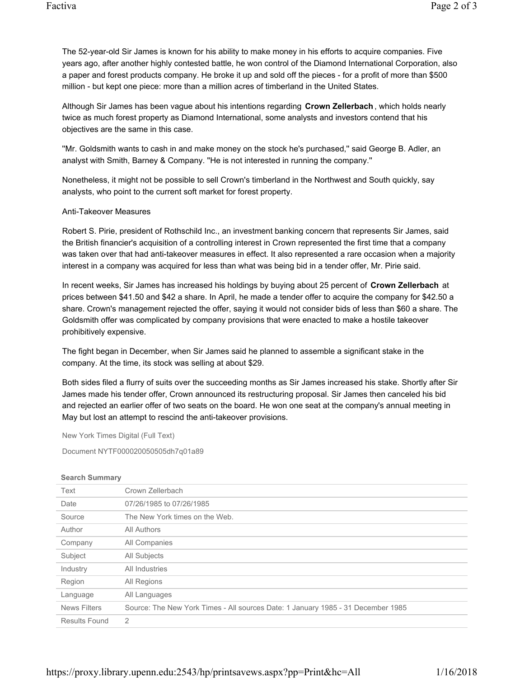The 52-year-old Sir James is known for his ability to make money in his efforts to acquire companies. Five years ago, after another highly contested battle, he won control of the Diamond International Corporation, also a paper and forest products company. He broke it up and sold off the pieces - for a profit of more than \$500 million - but kept one piece: more than a million acres of timberland in the United States.

Although Sir James has been vague about his intentions regarding **Crown Zellerbach** , which holds nearly twice as much forest property as Diamond International, some analysts and investors contend that his objectives are the same in this case.

''Mr. Goldsmith wants to cash in and make money on the stock he's purchased,'' said George B. Adler, an analyst with Smith, Barney & Company. ''He is not interested in running the company.''

Nonetheless, it might not be possible to sell Crown's timberland in the Northwest and South quickly, say analysts, who point to the current soft market for forest property.

## Anti-Takeover Measures

Robert S. Pirie, president of Rothschild Inc., an investment banking concern that represents Sir James, said the British financier's acquisition of a controlling interest in Crown represented the first time that a company was taken over that had anti-takeover measures in effect. It also represented a rare occasion when a majority interest in a company was acquired for less than what was being bid in a tender offer, Mr. Pirie said.

In recent weeks, Sir James has increased his holdings by buying about 25 percent of **Crown Zellerbach** at prices between \$41.50 and \$42 a share. In April, he made a tender offer to acquire the company for \$42.50 a share. Crown's management rejected the offer, saying it would not consider bids of less than \$60 a share. The Goldsmith offer was complicated by company provisions that were enacted to make a hostile takeover prohibitively expensive.

The fight began in December, when Sir James said he planned to assemble a significant stake in the company. At the time, its stock was selling at about \$29.

Both sides filed a flurry of suits over the succeeding months as Sir James increased his stake. Shortly after Sir James made his tender offer, Crown announced its restructuring proposal. Sir James then canceled his bid and rejected an earlier offer of two seats on the board. He won one seat at the company's annual meeting in May but lost an attempt to rescind the anti-takeover provisions.

New York Times Digital (Full Text)

Document NYTF000020050505dh7q01a89

## **Search Summary**

| Text                 | Crown Zellerbach                                                                 |
|----------------------|----------------------------------------------------------------------------------|
| Date                 | 07/26/1985 to 07/26/1985                                                         |
| Source               | The New York times on the Web.                                                   |
| Author               | All Authors                                                                      |
| Company              | All Companies                                                                    |
| Subject              | All Subjects                                                                     |
| Industry             | All Industries                                                                   |
| Region               | All Regions                                                                      |
| Language             | All Languages                                                                    |
| <b>News Filters</b>  | Source: The New York Times - All sources Date: 1 January 1985 - 31 December 1985 |
| <b>Results Found</b> | 2                                                                                |
|                      |                                                                                  |